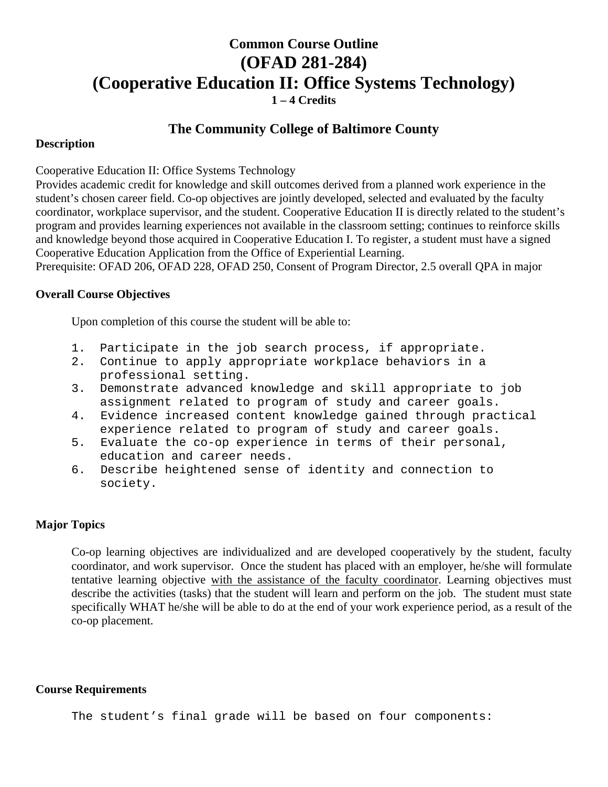# **Common Course Outline (OFAD 281-284) (Cooperative Education II: Office Systems Technology) 1 – 4 Credits**

# **The Community College of Baltimore County**

#### **Description**

Cooperative Education II: Office Systems Technology

Provides academic credit for knowledge and skill outcomes derived from a planned work experience in the student's chosen career field. Co-op objectives are jointly developed, selected and evaluated by the faculty coordinator, workplace supervisor, and the student. Cooperative Education II is directly related to the student's program and provides learning experiences not available in the classroom setting; continues to reinforce skills and knowledge beyond those acquired in Cooperative Education I. To register, a student must have a signed Cooperative Education Application from the Office of Experiential Learning.

Prerequisite: OFAD 206, OFAD 228, OFAD 250, Consent of Program Director, 2.5 overall QPA in major

### **Overall Course Objectives**

Upon completion of this course the student will be able to:

- 1. Participate in the job search process, if appropriate.
- 2. Continue to apply appropriate workplace behaviors in a professional setting.
- 3. Demonstrate advanced knowledge and skill appropriate to job assignment related to program of study and career goals.
- 4. Evidence increased content knowledge gained through practical experience related to program of study and career goals.
- 5. Evaluate the co-op experience in terms of their personal, education and career needs.
- 6. Describe heightened sense of identity and connection to society.

## **Major Topics**

Co-op learning objectives are individualized and are developed cooperatively by the student, faculty coordinator, and work supervisor. Once the student has placed with an employer, he/she will formulate tentative learning objective with the assistance of the faculty coordinator. Learning objectives must describe the activities (tasks) that the student will learn and perform on the job. The student must state specifically WHAT he/she will be able to do at the end of your work experience period, as a result of the co-op placement.

#### **Course Requirements**

The student's final grade will be based on four components: